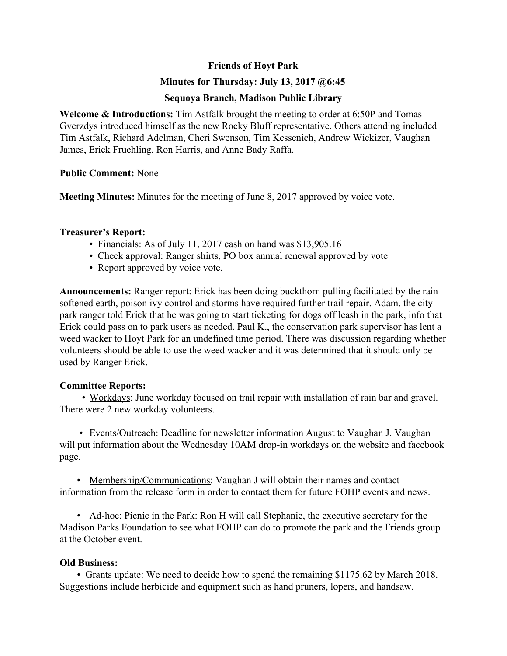# **Friends of Hoyt Park**

## **Minutes for Thursday: July 13, 2017 @6:45**

## **Sequoya Branch, Madison Public Library**

**Welcome & Introductions:** Tim Astfalk brought the meeting to order at 6:50P and Tomas Gverzdys introduced himself as the new Rocky Bluff representative. Others attending included Tim Astfalk, Richard Adelman, Cheri Swenson, Tim Kessenich, Andrew Wickizer, Vaughan James, Erick Fruehling, Ron Harris, and Anne Bady Raffa.

#### **Public Comment:** None

**Meeting Minutes:** Minutes for the meeting of June 8, 2017 approved by voice vote.

#### **Treasurer's Report:**

- Financials: As of July 11, 2017 cash on hand was \$13,905.16
- Check approval: Ranger shirts, PO box annual renewal approved by vote
- Report approved by voice vote.

**Announcements:** Ranger report: Erick has been doing buckthorn pulling facilitated by the rain softened earth, poison ivy control and storms have required further trail repair. Adam, the city park ranger told Erick that he was going to start ticketing for dogs off leash in the park, info that Erick could pass on to park users as needed. Paul K., the conservation park supervisor has lent a weed wacker to Hoyt Park for an undefined time period. There was discussion regarding whether volunteers should be able to use the weed wacker and it was determined that it should only be used by Ranger Erick.

#### **Committee Reports:**

 • Workdays: June workday focused on trail repair with installation of rain bar and gravel. There were 2 new workday volunteers.

 • Events/Outreach: Deadline for newsletter information August to Vaughan J. Vaughan will put information about the Wednesday 10AM drop-in workdays on the website and facebook page.

 • Membership/Communications: Vaughan J will obtain their names and contact information from the release form in order to contact them for future FOHP events and news.

 • Ad-hoc: Picnic in the Park: Ron H will call Stephanie, the executive secretary for the Madison Parks Foundation to see what FOHP can do to promote the park and the Friends group at the October event.

# **Old Business:**

 • Grants update: We need to decide how to spend the remaining \$1175.62 by March 2018. Suggestions include herbicide and equipment such as hand pruners, lopers, and handsaw.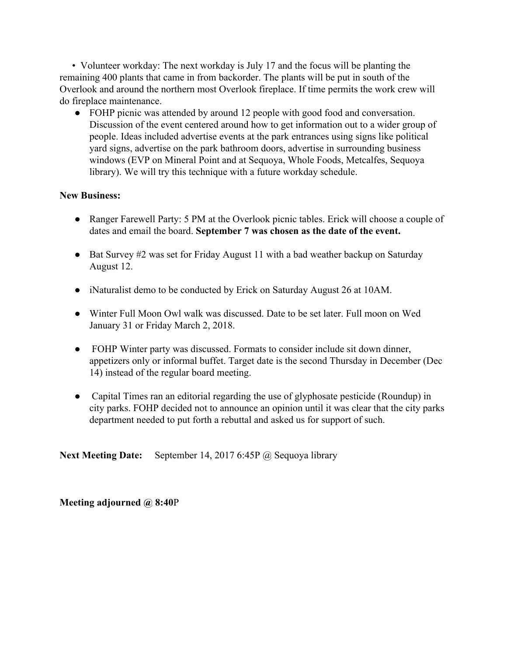• Volunteer workday: The next workday is July 17 and the focus will be planting the remaining 400 plants that came in from backorder. The plants will be put in south of the Overlook and around the northern most Overlook fireplace. If time permits the work crew will do fireplace maintenance.

● FOHP picnic was attended by around 12 people with good food and conversation. Discussion of the event centered around how to get information out to a wider group of people. Ideas included advertise events at the park entrances using signs like political yard signs, advertise on the park bathroom doors, advertise in surrounding business windows (EVP on Mineral Point and at Sequoya, Whole Foods, Metcalfes, Sequoya library). We will try this technique with a future workday schedule.

# **New Business:**

- Ranger Farewell Party: 5 PM at the Overlook picnic tables. Erick will choose a couple of dates and email the board. **September 7 was chosen as the date of the event.**
- Bat Survey #2 was set for Friday August 11 with a bad weather backup on Saturday August 12.
- iNaturalist demo to be conducted by Erick on Saturday August 26 at 10AM.
- Winter Full Moon Owl walk was discussed. Date to be set later. Full moon on Wed January 31 or Friday March 2, 2018.
- FOHP Winter party was discussed. Formats to consider include sit down dinner, appetizers only or informal buffet. Target date is the second Thursday in December (Dec 14) instead of the regular board meeting.
- Capital Times ran an editorial regarding the use of glyphosate pesticide (Roundup) in city parks. FOHP decided not to announce an opinion until it was clear that the city parks department needed to put forth a rebuttal and asked us for support of such.

**Next Meeting Date:** September 14, 2017 6:45P @ Sequoya library

**Meeting adjourned @ 8:40**P